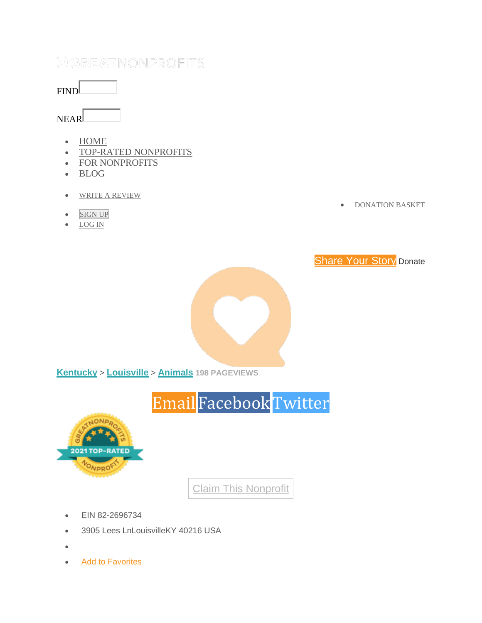#### FIND

#### NEAR

- [HOME](https://greatnonprofits.org/)
- [TOP-RATED NONPROFITS](http://www.toprated.greatnonprofits.org/)
- FOR NONPROFITS
- [BLOG](https://blog.greatnonprofits.org/)
- [WRITE A REVIEW](https://greatnonprofits.org/write-a-review)
- **[SIGN](https://greatnonprofits.org/signup) UP**
- [LOG IN](https://greatnonprofits.org/signin)

• [DONATION](https://greatnonprofits.org/donations/) BASKET





**[Kentucky](https://greatnonprofits.org/state/Kentucky)** > **[Louisville](https://greatnonprofits.org/city/louisville/KY)** > **[Animals](https://greatnonprofits.org/city/louisville/KY/category:animals/sort:review_count/direction:desc) 198 PAGEVIEWS**



Claim This [Nonprofit](https://greatnonprofits.org/login?redirect=/organizations/claim_new/997159313)

- EIN 82-2696734
- 3905 Lees LnLouisvilleKY 40216 USA
- •
- [Add to Favorites](https://greatnonprofits.org/login/?redirect=/users/add_to_favorites/997159313)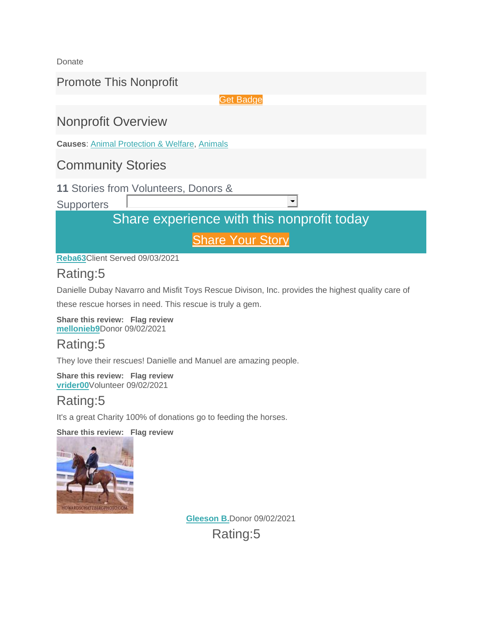Donate

Promote This Nonprofit

Get [Badge](https://greatnonprofits.org/dashboard/review/997159313)

## Nonprofit Overview

**Causes**: [Animal Protection & Welfare,](https://greatnonprofits.org/categories/view/animal-protection-and-welfare) [Animals](https://greatnonprofits.org/categories/view/animals)

### Community Stories

**11** Stories from Volunteers, Donors &

**Supporters** 

## Share experience with this nonprofit today

 $\blacksquare$ 

**[Share](https://greatnonprofits.org/reviews/write/misfit-toys-rescue-division-inc) Your Story** 

**[Reba63](https://greatnonprofits.org/users/profile/682657)**Client Served 09/03/2021

### Rating:5

Danielle Dubay Navarro and Misfit Toys Rescue Divison, Inc. provides the highest quality care of

these rescue horses in need. This rescue is truly a gem.

**Share this review: Flag review [mellonieb9](https://greatnonprofits.org/users/profile/682234)**Donor 09/02/2021

### Rating:5

They love their rescues! Danielle and Manuel are amazing people.

**Share this review: Flag review [vrider00](https://greatnonprofits.org/users/profile/682153)**Volunteer 09/02/2021

### Rating:5

It's a great Charity 100% of donations go to feeding the horses.

**Share this review: Flag review**



**[Gleeson B.](https://greatnonprofits.org/users/profile/682127)**Donor 09/02/2021 Rating:5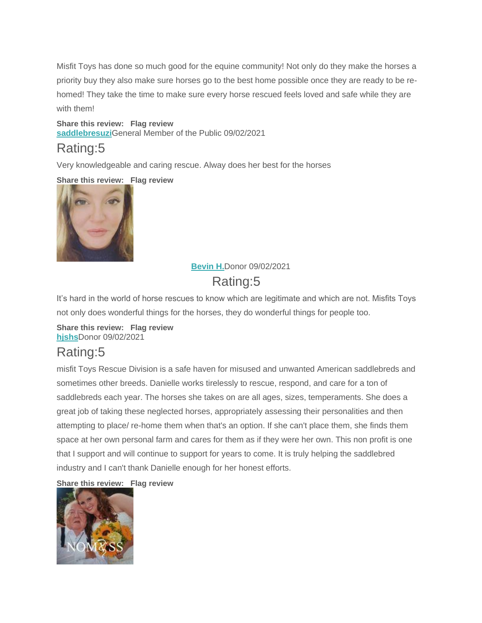Misfit Toys has done so much good for the equine community! Not only do they make the horses a priority buy they also make sure horses go to the best home possible once they are ready to be rehomed! They take the time to make sure every horse rescued feels loved and safe while they are with them!

**Share this review: Flag review [saddlebresuzi](https://greatnonprofits.org/users/profile/601905)**General Member of the Public 09/02/2021

### Rating:5

Very knowledgeable and caring rescue. Alway does her best for the horses

#### **Share this review: Flag review**



### **[Bevin H.](https://greatnonprofits.org/users/profile/682078)**Donor 09/02/2021

# Rating:5

It's hard in the world of horse rescues to know which are legitimate and which are not. Misfits Toys not only does wonderful things for the horses, they do wonderful things for people too.

#### **Share this review: Flag review [hjshs](https://greatnonprofits.org/users/profile/681896)**Donor 09/02/2021

## Rating:5

misfit Toys Rescue Division is a safe haven for misused and unwanted American saddlebreds and sometimes other breeds. Danielle works tirelessly to rescue, respond, and care for a ton of saddlebreds each year. The horses she takes on are all ages, sizes, temperaments. She does a great job of taking these neglected horses, appropriately assessing their personalities and then attempting to place/ re-home them when that's an option. If she can't place them, she finds them space at her own personal farm and cares for them as if they were her own. This non profit is one that I support and will continue to support for years to come. It is truly helping the saddlebred industry and I can't thank Danielle enough for her honest efforts.

#### **Share this review: Flag review**

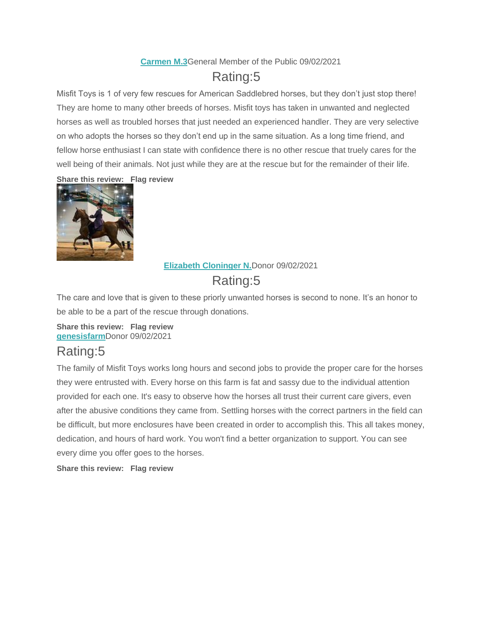#### **[Carmen M.3](https://greatnonprofits.org/users/profile/681889)**General Member of the Public 09/02/2021

## Rating:5

Misfit Toys is 1 of very few rescues for American Saddlebred horses, but they don't just stop there! They are home to many other breeds of horses. Misfit toys has taken in unwanted and neglected horses as well as troubled horses that just needed an experienced handler. They are very selective on who adopts the horses so they don't end up in the same situation. As a long time friend, and fellow horse enthusiast I can state with confidence there is no other rescue that truely cares for the well being of their animals. Not just while they are at the rescue but for the remainder of their life.

**Share this review: Flag review**



#### **[Elizabeth Cloninger N.](https://greatnonprofits.org/users/profile/681880)**Donor 09/02/2021 Rating:5

The care and love that is given to these priorly unwanted horses is second to none. It's an honor to be able to be a part of the rescue through donations.

**Share this review: Flag review [genesisfarm](https://greatnonprofits.org/users/profile/681704)**Donor 09/02/2021

## Rating:5

The family of Misfit Toys works long hours and second jobs to provide the proper care for the horses they were entrusted with. Every horse on this farm is fat and sassy due to the individual attention provided for each one. It's easy to observe how the horses all trust their current care givers, even after the abusive conditions they came from. Settling horses with the correct partners in the field can be difficult, but more enclosures have been created in order to accomplish this. This all takes money, dedication, and hours of hard work. You won't find a better organization to support. You can see every dime you offer goes to the horses.

**Share this review: Flag review**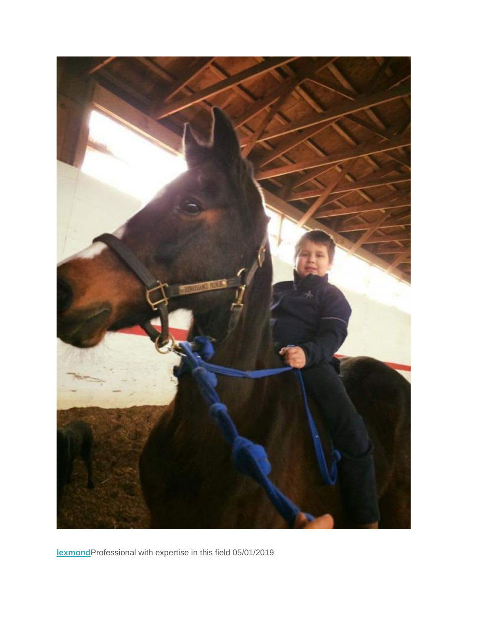

**[lexmond](https://greatnonprofits.org/users/profile/415052)**Professional with expertise in this field 05/01/2019